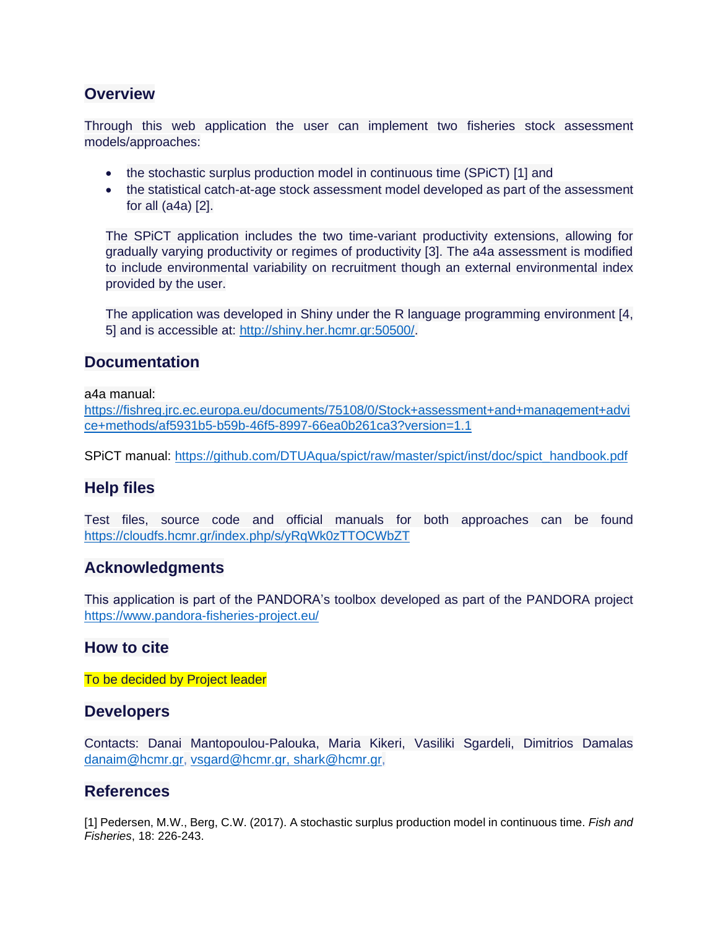### **Overview**

Through this web application the user can implement two fisheries stock assessment models/approaches:

- the stochastic surplus production model in continuous time (SPiCT) [1] and
- the statistical catch-at-age stock assessment model developed as part of the assessment for all (a4a) [2].

The SPiCT application includes the two time-variant productivity extensions, allowing for gradually varying productivity or regimes of productivity [3]. The a4a assessment is modified to include environmental variability on recruitment though an external environmental index provided by the user.

The application was developed in Shiny under the R language programming environment [4, 5] and is accessible at: [http://shiny.her.hcmr.gr:50500/.](http://shiny.her.hcmr.gr:50500/)

### **Documentation**

a4a manual:

[https://fishreg.jrc.ec.europa.eu/documents/75108/0/Stock+assessment+and+management+advi](https://fishreg.jrc.ec.europa.eu/documents/75108/0/Stock+assessment+and+management+advice+methods/af5931b5-b59b-46f5-8997-66ea0b261ca3?version=1.1) [ce+methods/af5931b5-b59b-46f5-8997-66ea0b261ca3?version=1.1](https://fishreg.jrc.ec.europa.eu/documents/75108/0/Stock+assessment+and+management+advice+methods/af5931b5-b59b-46f5-8997-66ea0b261ca3?version=1.1)

SPiCT manual: [https://github.com/DTUAqua/spict/raw/master/spict/inst/doc/spict\\_handbook.pdf](https://github.com/DTUAqua/spict/raw/master/spict/inst/doc/spict_handbook.pdf)

# **Help files**

Test files, source code and official manuals for both approaches can be found <https://cloudfs.hcmr.gr/index.php/s/yRqWk0zTTOCWbZT>

# **Acknowledgments**

This application is part of the PANDORA's toolbox developed as part of the PANDORA project <https://www.pandora-fisheries-project.eu/>

### **How to cite**

To be decided by Project leader

### **Developers**

Contacts: Danai Mantopoulou-Palouka, Maria Kikeri, Vasiliki Sgardeli, Dimitrios Damalas [danaim@hcmr.gr,](mailto:danaim@hcmr.gr) [vsgard@hcmr.gr,](mailto:vsgard@hcmr.gr) [shark@hcmr.gr,](mailto:shark@hcmr.gr)

### **References**

[1] Pedersen, M.W., Berg, C.W. (2017). A stochastic surplus production model in continuous time. *Fish and Fisheries*, 18: 226-243.